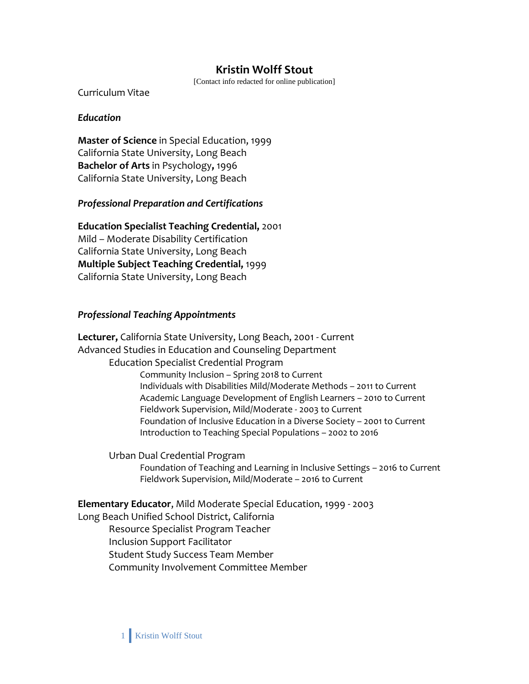# **Kristin Wolff Stout**

[Contact info redacted for online publication]

Curriculum Vitae

#### *Education*

**Master of Science** in Special Education, 1999 California State University, Long Beach **Bachelor of Arts** in Psychology**,** 1996 California State University, Long Beach

#### *Professional Preparation and Certifications*

**Education Specialist Teaching Credential,** 2001 Mild – Moderate Disability Certification California State University, Long Beach **Multiple Subject Teaching Credential,** 1999 California State University, Long Beach

#### *Professional Teaching Appointments*

**Lecturer,** California State University, Long Beach, 2001 - Current Advanced Studies in Education and Counseling Department Education Specialist Credential Program Community Inclusion – Spring 2018 to Current Individuals with Disabilities Mild/Moderate Methods – 2011 to Current Academic Language Development of English Learners – 2010 to Current Fieldwork Supervision, Mild/Moderate - 2003 to Current Foundation of Inclusive Education in a Diverse Society – 2001 to Current Introduction to Teaching Special Populations – 2002 to 2016

Urban Dual Credential Program Foundation of Teaching and Learning in Inclusive Settings – 2016 to Current Fieldwork Supervision, Mild/Moderate – 2016 to Current

#### **Elementary Educator**, Mild Moderate Special Education, 1999 - 2003

Long Beach Unified School District, California

Resource Specialist Program Teacher Inclusion Support Facilitator Student Study Success Team Member Community Involvement Committee Member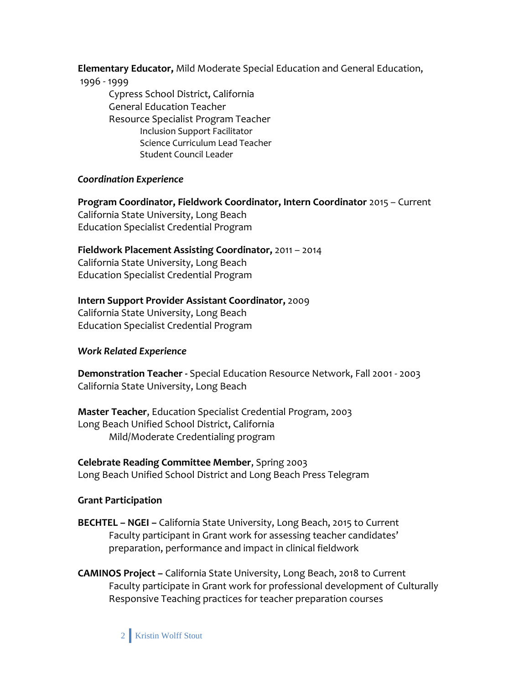**Elementary Educator,** Mild Moderate Special Education and General Education,

#### 1996 - 1999

Cypress School District, California General Education Teacher Resource Specialist Program Teacher Inclusion Support Facilitator Science Curriculum Lead Teacher Student Council Leader

### *Coordination Experience*

**Program Coordinator, Fieldwork Coordinator, Intern Coordinator** 2015 – Current California State University, Long Beach Education Specialist Credential Program

**Fieldwork Placement Assisting Coordinator,** 2011 – 2014

California State University, Long Beach Education Specialist Credential Program

## **Intern Support Provider Assistant Coordinator,** 2009

California State University, Long Beach Education Specialist Credential Program

### *Work Related Experience*

**Demonstration Teacher -** Special Education Resource Network, Fall 2001 - 2003 California State University, Long Beach

**Master Teacher**, Education Specialist Credential Program, 2003 Long Beach Unified School District, California Mild/Moderate Credentialing program

### **Celebrate Reading Committee Member**, Spring 2003 Long Beach Unified School District and Long Beach Press Telegram

### **Grant Participation**

- **BECHTEL – NGEI –** California State University, Long Beach, 2015 to Current Faculty participant in Grant work for assessing teacher candidates' preparation, performance and impact in clinical fieldwork
- **CAMINOS Project –** California State University, Long Beach, 2018 to Current Faculty participate in Grant work for professional development of Culturally Responsive Teaching practices for teacher preparation courses

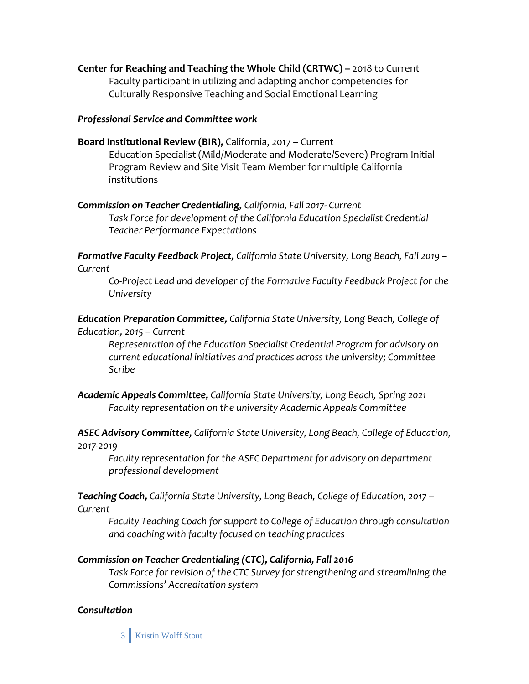**Center for Reaching and Teaching the Whole Child (CRTWC) –** 2018 to Current Faculty participant in utilizing and adapting anchor competencies for Culturally Responsive Teaching and Social Emotional Learning

#### *Professional Service and Committee work*

- **Board Institutional Review (BIR),** California, 2017 Current Education Specialist (Mild/Moderate and Moderate/Severe) Program Initial Program Review and Site Visit Team Member for multiple California institutions
- *Commission on Teacher Credentialing, California, Fall 2017- Current Task Force for development of the California Education Specialist Credential Teacher Performance Expectations*

*Formative Faculty Feedback Project, California State University, Long Beach, Fall 2019 – Current*

*Co-Project Lead and developer of the Formative Faculty Feedback Project for the University*

*Education Preparation Committee, California State University, Long Beach, College of Education, 2015 – Current*

*Representation of the Education Specialist Credential Program for advisory on current educational initiatives and practices across the university; Committee Scribe*

*Academic Appeals Committee, California State University, Long Beach, Spring 2021 Faculty representation on the university Academic Appeals Committee*

*ASEC Advisory Committee, California State University, Long Beach, College of Education, 2017-2019*

*Faculty representation for the ASEC Department for advisory on department professional development*

*Teaching Coach, California State University, Long Beach, College of Education, 2017 – Current*

*Faculty Teaching Coach for support to College of Education through consultation and coaching with faculty focused on teaching practices* 

### *Commission on Teacher Credentialing (CTC), California, Fall 2016*

*Task Force for revision of the CTC Survey for strengthening and streamlining the Commissions' Accreditation system*

### *Consultation*

3 Kristin Wolff Stout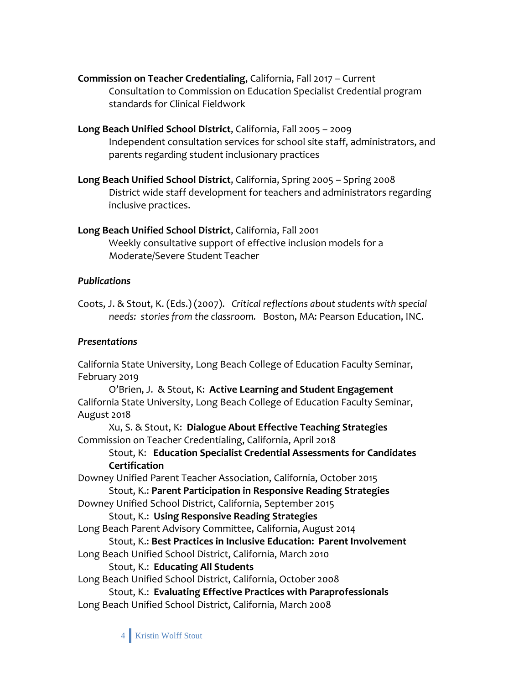**Commission on Teacher Credentialing**, California, Fall 2017 – Current Consultation to Commission on Education Specialist Credential program standards for Clinical Fieldwork

**Long Beach Unified School District**, California, Fall 2005 – 2009 Independent consultation services for school site staff, administrators, and parents regarding student inclusionary practices

**Long Beach Unified School District**, California, Spring 2005 – Spring 2008 District wide staff development for teachers and administrators regarding inclusive practices.

## **Long Beach Unified School District**, California, Fall 2001 Weekly consultative support of effective inclusion models for a Moderate/Severe Student Teacher

# *Publications*

Coots, J. & Stout, K. (Eds.) (2007). *Critical reflections about students with special needs: stories from the classroom.* Boston, MA: Pearson Education, INC.

# *Presentations*

California State University, Long Beach College of Education Faculty Seminar, February 2019

O'Brien, J. & Stout, K: **Active Learning and Student Engagement** California State University, Long Beach College of Education Faculty Seminar, August 2018

Xu, S. & Stout, K: **Dialogue About Effective Teaching Strategies** Commission on Teacher Credentialing, California, April 2018

## Stout, K: **Education Specialist Credential Assessments for Candidates Certification**

Downey Unified Parent Teacher Association, California, October 2015 Stout, K.: **Parent Participation in Responsive Reading Strategies** Downey Unified School District, California, September 2015

Stout, K.: **Using Responsive Reading Strategies**

Long Beach Parent Advisory Committee, California, August 2014

Stout, K.: **Best Practices in Inclusive Education: Parent Involvement**

Long Beach Unified School District, California, March 2010 Stout, K.: **Educating All Students**

Long Beach Unified School District, California, October 2008

Stout, K.: **Evaluating Effective Practices with Paraprofessionals** Long Beach Unified School District, California, March 2008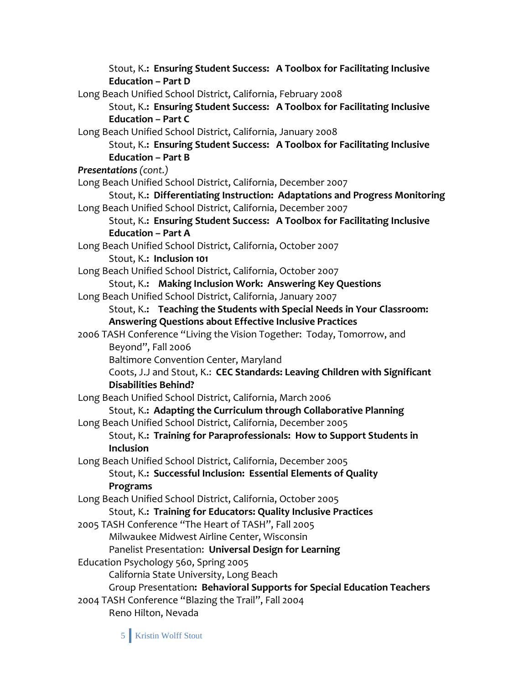Stout, K.**: Ensuring Student Success: A Toolbox for Facilitating Inclusive Education – Part D** Long Beach Unified School District, California, February 2008 Stout, K.**: Ensuring Student Success: A Toolbox for Facilitating Inclusive Education – Part C** Long Beach Unified School District, California, January 2008 Stout, K.**: Ensuring Student Success: A Toolbox for Facilitating Inclusive Education – Part B** *Presentations (cont.)* Long Beach Unified School District, California, December 2007 Stout, K.**: Differentiating Instruction: Adaptations and Progress Monitoring** Long Beach Unified School District, California, December 2007 Stout, K.**: Ensuring Student Success: A Toolbox for Facilitating Inclusive Education – Part A** Long Beach Unified School District, California, October 2007 Stout, K.**: Inclusion 101** Long Beach Unified School District, California, October 2007 Stout, K.**: Making Inclusion Work: Answering Key Questions** Long Beach Unified School District, California, January 2007 Stout, K.**: Teaching the Students with Special Needs in Your Classroom: Answering Questions about Effective Inclusive Practices** 2006 TASH Conference "Living the Vision Together: Today, Tomorrow, and Beyond", Fall 2006 Baltimore Convention Center, Maryland Coots, J.J and Stout, K.: **CEC Standards: Leaving Children with Significant Disabilities Behind?** Long Beach Unified School District, California, March 2006 Stout, K.**: Adapting the Curriculum through Collaborative Planning** Long Beach Unified School District, California, December 2005 Stout, K.**: Training for Paraprofessionals: How to Support Students in Inclusion** Long Beach Unified School District, California, December 2005 Stout, K.**: Successful Inclusion: Essential Elements of Quality Programs** Long Beach Unified School District, California, October 2005 Stout, K.**: Training for Educators: Quality Inclusive Practices** 2005 TASH Conference "The Heart of TASH", Fall 2005 Milwaukee Midwest Airline Center, Wisconsin Panelist Presentation: **Universal Design for Learning** Education Psychology 560, Spring 2005 California State University, Long Beach Group Presentation**: Behavioral Supports for Special Education Teachers** 2004 TASH Conference "Blazing the Trail", Fall 2004 Reno Hilton, Nevada